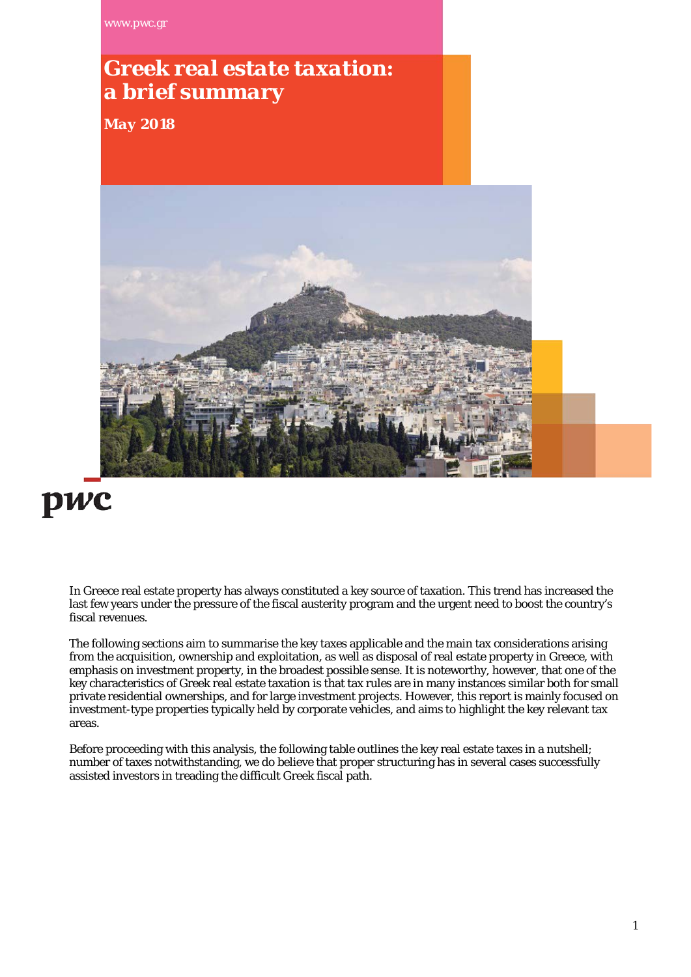[www.pwc.gr](http://www.pwc.gr/)

# *Greek real estate taxation: a brief summary*

*May 2018*



# pwc

In Greece real estate property has always constituted a key source of taxation. This trend has increased the last few years under the pressure of the fiscal austerity program and the urgent need to boost the country's fiscal revenues.

The following sections aim to summarise the key taxes applicable and the main tax considerations arising from the acquisition, ownership and exploitation, as well as disposal of real estate property in Greece, with emphasis on investment property, in the broadest possible sense. It is noteworthy, however, that one of the key characteristics of Greek real estate taxation is that tax rules are in many instances similar both for small private residential ownerships, and for large investment projects. However, this report is mainly focused on investment-type properties typically held by corporate vehicles, and aims to highlight the key relevant tax areas.

Before proceeding with this analysis, the following table outlines the key real estate taxes in a nutshell; number of taxes notwithstanding, we do believe that proper structuring has in several cases successfully assisted investors in treading the difficult Greek fiscal path.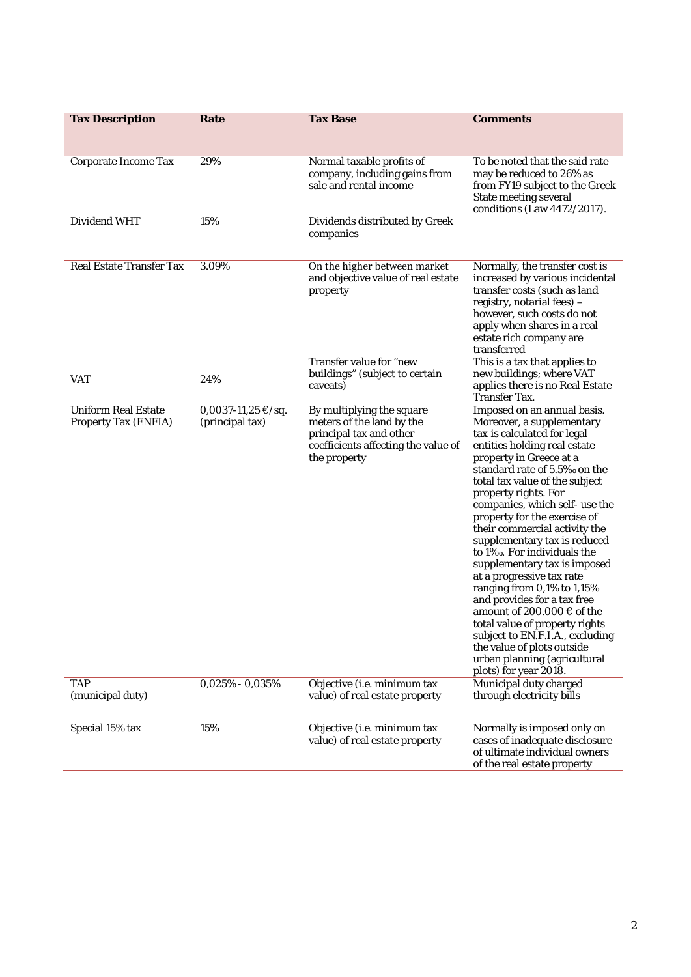| <b>Tax Description</b>                                    | Rate                                                | <b>Tax Base</b>                                                                                                                          | <b>Comments</b>                                                                                                                                                                                                                                                                                                                                                                                                                                                                                                                                                                                                                                                                                                                   |
|-----------------------------------------------------------|-----------------------------------------------------|------------------------------------------------------------------------------------------------------------------------------------------|-----------------------------------------------------------------------------------------------------------------------------------------------------------------------------------------------------------------------------------------------------------------------------------------------------------------------------------------------------------------------------------------------------------------------------------------------------------------------------------------------------------------------------------------------------------------------------------------------------------------------------------------------------------------------------------------------------------------------------------|
| <b>Corporate Income Tax</b>                               | 29%                                                 | Normal taxable profits of<br>company, including gains from<br>sale and rental income                                                     | To be noted that the said rate<br>may be reduced to 26% as<br>from FY19 subject to the Greek<br><b>State meeting several</b><br>conditions (Law $4472/2017$ ).                                                                                                                                                                                                                                                                                                                                                                                                                                                                                                                                                                    |
| <b>Dividend WHT</b>                                       | 15%                                                 | Dividends distributed by Greek<br>companies                                                                                              |                                                                                                                                                                                                                                                                                                                                                                                                                                                                                                                                                                                                                                                                                                                                   |
| <b>Real Estate Transfer Tax</b>                           | 3.09%                                               | On the higher between market<br>and objective value of real estate<br>property                                                           | Normally, the transfer cost is<br>increased by various incidental<br>transfer costs (such as land<br>registry, notarial fees) -<br>however, such costs do not<br>apply when shares in a real<br>estate rich company are<br>transferred                                                                                                                                                                                                                                                                                                                                                                                                                                                                                            |
| VAT                                                       | 24%                                                 | Transfer value for "new<br>buildings" (subject to certain<br>caveats)                                                                    | This is a tax that applies to<br>new buildings; where VAT<br>applies there is no Real Estate<br><b>Transfer Tax.</b>                                                                                                                                                                                                                                                                                                                                                                                                                                                                                                                                                                                                              |
| <b>Uniform Real Estate</b><br><b>Property Tax (ENFIA)</b> | $0,0037-11,25 \text{ } \in$ /sq.<br>(principal tax) | By multiplying the square<br>meters of the land by the<br>principal tax and other<br>coefficients affecting the value of<br>the property | Imposed on an annual basis.<br>Moreover, a supplementary<br>tax is calculated for legal<br>entities holding real estate<br>property in Greece at a<br>standard rate of 5.5% on the<br>total tax value of the subject<br>property rights. For<br>companies, which self- use the<br>property for the exercise of<br>their commercial activity the<br>supplementary tax is reduced<br>to 1‰. For individuals the<br>supplementary tax is imposed<br>at a progressive tax rate<br>ranging from 0,1% to 1,15%<br>and provides for a tax free<br>amount of 200.000 € of the<br>total value of property rights<br>subject to EN.F.I.A., excluding<br>the value of plots outside<br>urban planning (agricultural<br>plots) for year 2018. |
| <b>TAP</b><br>(municipal duty)                            | $0.025\% - 0.035\%$                                 | Objective (i.e. minimum tax<br>value) of real estate property                                                                            | Municipal duty charged<br>through electricity bills                                                                                                                                                                                                                                                                                                                                                                                                                                                                                                                                                                                                                                                                               |
| Special 15% tax                                           | 15%                                                 | Objective (i.e. minimum tax<br>value) of real estate property                                                                            | Normally is imposed only on<br>cases of inadequate disclosure<br>of ultimate individual owners<br>of the real estate property                                                                                                                                                                                                                                                                                                                                                                                                                                                                                                                                                                                                     |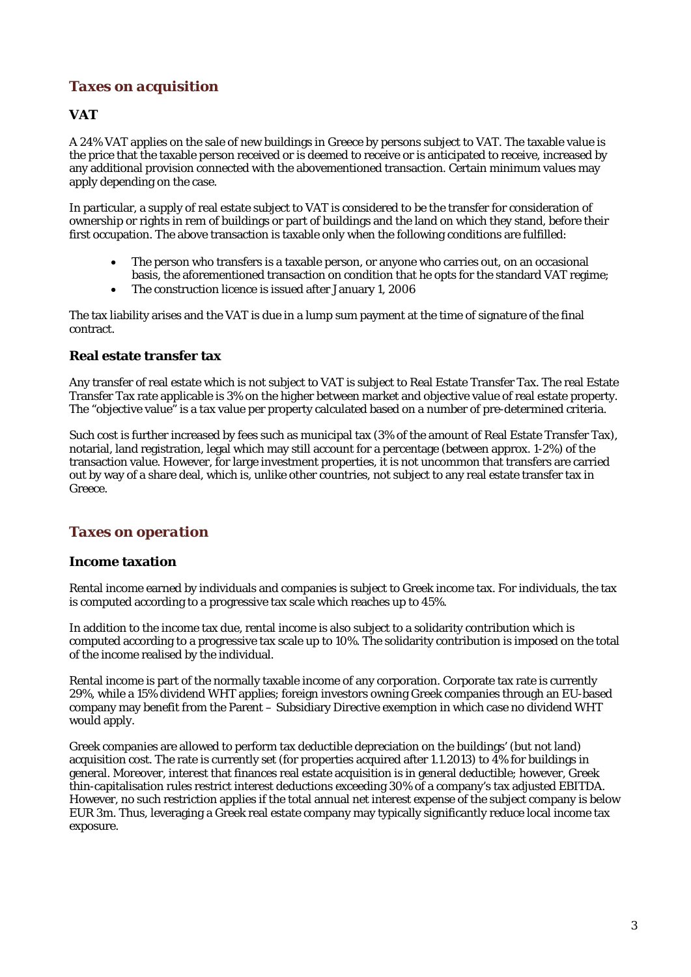## *Taxes on acquisition*

#### **VAT**

A 24% VAT applies on the sale of new buildings in Greece by persons subject to VAT. The taxable value is the price that the taxable person received or is deemed to receive or is anticipated to receive, increased by any additional provision connected with the abovementioned transaction. Certain minimum values may apply depending on the case.

In particular, a supply of real estate subject to VAT is considered to be the transfer for consideration of ownership or rights in rem of buildings or part of buildings and the land on which they stand, before their first occupation. The above transaction is taxable only when the following conditions are fulfilled:

- The person who transfers is a taxable person, or anyone who carries out, on an occasional basis, the aforementioned transaction on condition that he opts for the standard VAT regime;
- The construction licence is issued after January 1, 2006

The tax liability arises and the VAT is due in a lump sum payment at the time of signature of the final contract.

#### **Real estate transfer tax**

Any transfer of real estate which is not subject to VAT is subject to Real Estate Transfer Tax. The real Estate Transfer Tax rate applicable is 3% on the higher between market and objective value of real estate property. The "objective value" is a tax value per property calculated based on a number of pre-determined criteria.

Such cost is further increased by fees such as municipal tax (3% of the amount of Real Estate Transfer Tax), notarial, land registration, legal which may still account for a percentage (between approx. 1-2%) of the transaction value. However, for large investment properties, it is not uncommon that transfers are carried out by way of a share deal, which is, unlike other countries, not subject to any real estate transfer tax in Greece.

#### *Taxes on operation*

#### **Income taxation**

Rental income earned by individuals and companies is subject to Greek income tax. For individuals, the tax is computed according to a progressive tax scale which reaches up to 45%.

In addition to the income tax due, rental income is also subject to a solidarity contribution which is computed according to a progressive tax scale up to 10%. The solidarity contribution is imposed on the total of the income realised by the individual.

Rental income is part of the normally taxable income of any corporation. Corporate tax rate is currently 29%, while a 15% dividend WHT applies; foreign investors owning Greek companies through an EU-based company may benefit from the Parent – Subsidiary Directive exemption in which case no dividend WHT would apply.

Greek companies are allowed to perform tax deductible depreciation on the buildings' (but not land) acquisition cost. The rate is currently set (for properties acquired after 1.1.2013) to 4% for buildings in general. Moreover, interest that finances real estate acquisition is in general deductible; however, Greek thin-capitalisation rules restrict interest deductions exceeding 30% of a company's tax adjusted EBITDA. However, no such restriction applies if the total annual net interest expense of the subject company is below EUR 3m. Thus, leveraging a Greek real estate company may typically significantly reduce local income tax exposure.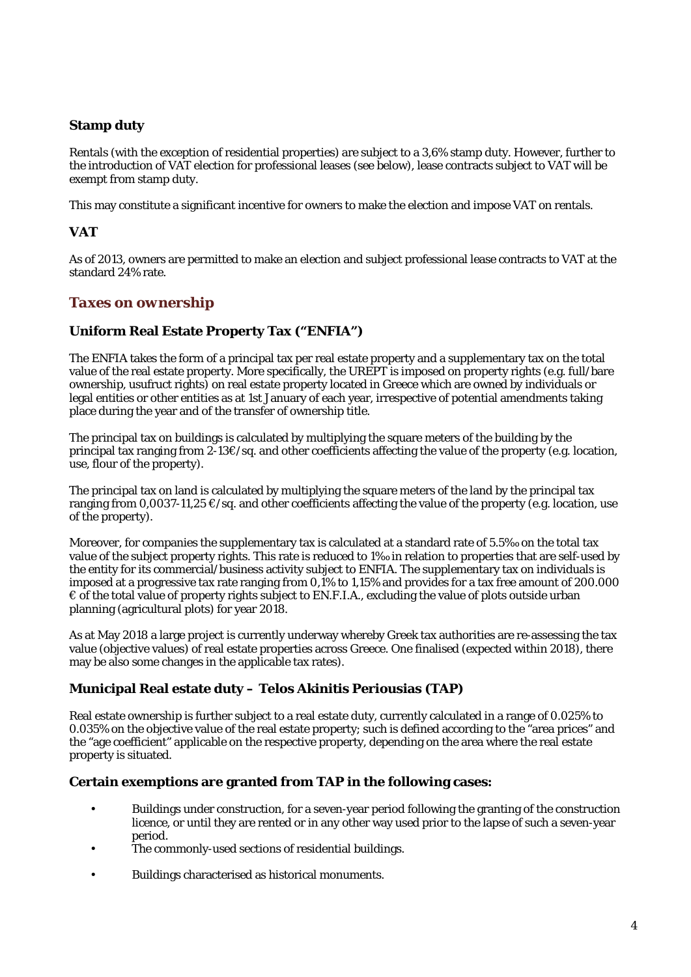#### **Stamp duty**

Rentals (with the exception of residential properties) are subject to a 3,6% stamp duty. However, further to the introduction of VAT election for professional leases (see below), lease contracts subject to VAT will be exempt from stamp duty.

This may constitute a significant incentive for owners to make the election and impose VAT on rentals.

#### **VAT**

As of 2013, owners are permitted to make an election and subject professional lease contracts to VAT at the standard 24% rate.

#### *Taxes on ownership*

#### **Uniform Real Estate Property Tax ("ENFIA")**

The ENFIA takes the form of a principal tax per real estate property and a supplementary tax on the total value of the real estate property. More specifically, the UREPT is imposed on property rights (e.g. full/bare ownership, usufruct rights) on real estate property located in Greece which are owned by individuals or legal entities or other entities as at 1st January of each year, irrespective of potential amendments taking place during the year and of the transfer of ownership title.

The principal tax on buildings is calculated by multiplying the square meters of the building by the principal tax ranging from 2-13€/sq. and other coefficients affecting the value of the property (e.g. location, use, flour of the property).

The principal tax on land is calculated by multiplying the square meters of the land by the principal tax ranging from 0,0037-11,25 €/sq. and other coefficients affecting the value of the property (e.g. location, use of the property).

Moreover, for companies the supplementary tax is calculated at a standard rate of 5.5‰ on the total tax value of the subject property rights. This rate is reduced to 1‰ in relation to properties that are self-used by the entity for its commercial/business activity subject to ENFIA. The supplementary tax on individuals is imposed at a progressive tax rate ranging from 0,1% to 1,15% and provides for a tax free amount of 200.000  $\epsilon$  of the total value of property rights subject to EN.F.I.A., excluding the value of plots outside urban planning (agricultural plots) for year 2018.

As at May 2018 a large project is currently underway whereby Greek tax authorities are re-assessing the tax value (objective values) of real estate properties across Greece. One finalised (expected within 2018), there may be also some changes in the applicable tax rates).

#### **Municipal Real estate duty – Telos Akinitis Periousias (TAP)**

Real estate ownership is further subject to a real estate duty, currently calculated in a range of 0.025% to 0.035% on the objective value of the real estate property; such is defined according to the "area prices" and the "age coefficient" applicable on the respective property, depending on the area where the real estate property is situated.

#### **Certain exemptions are granted from TAP in the following cases:**

- Buildings under construction, for a seven-year period following the granting of the construction licence, or until they are rented or in any other way used prior to the lapse of such a seven-year period.
- The commonly-used sections of residential buildings.
- Buildings characterised as historical monuments.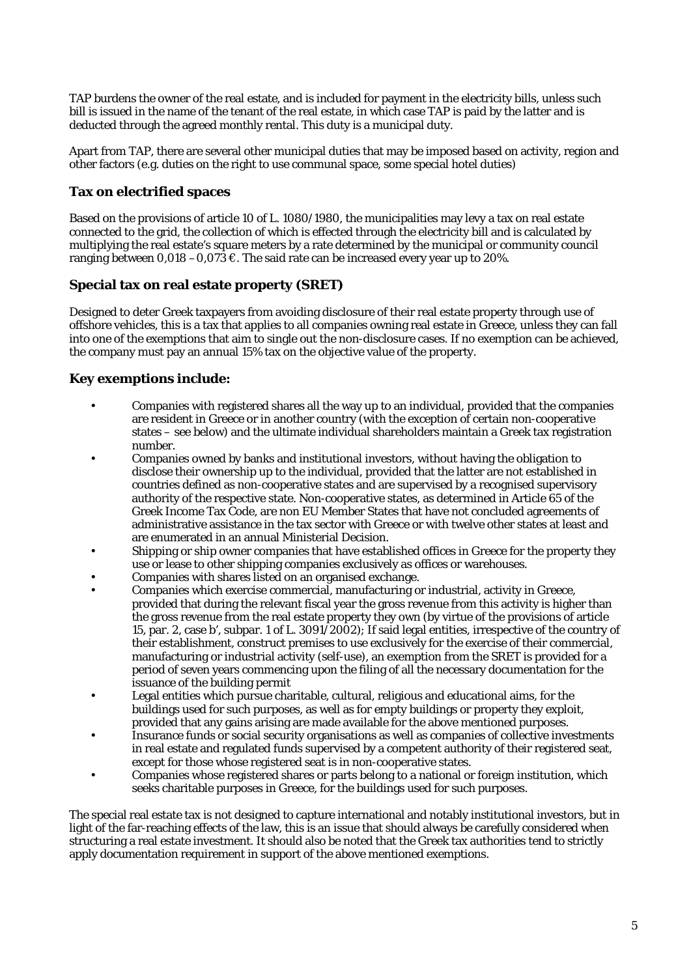TAP burdens the owner of the real estate, and is included for payment in the electricity bills, unless such bill is issued in the name of the tenant of the real estate, in which case TAP is paid by the latter and is deducted through the agreed monthly rental. This duty is a municipal duty.

Apart from TAP, there are several other municipal duties that may be imposed based on activity, region and other factors (e.g. duties on the right to use communal space, some special hotel duties)

#### **Tax on electrified spaces**

Based on the provisions of article 10 of L. 1080/1980, the municipalities may levy a tax on real estate connected to the grid, the collection of which is effected through the electricity bill and is calculated by multiplying the real estate's square meters by a rate determined by the municipal or community council ranging between 0,018 –0,073  $\epsilon$ . The said rate can be increased every year up to 20%.

#### **Special tax on real estate property (SRET)**

Designed to deter Greek taxpayers from avoiding disclosure of their real estate property through use of offshore vehicles, this is a tax that applies to all companies owning real estate in Greece, unless they can fall into one of the exemptions that aim to single out the non-disclosure cases. If no exemption can be achieved, the company must pay an annual 15% tax on the objective value of the property.

#### **Key exemptions include:**

- Companies with registered shares all the way up to an individual, provided that the companies are resident in Greece or in another country (with the exception of certain non-cooperative states – see below) and the ultimate individual shareholders maintain a Greek tax registration number.
- Companies owned by banks and institutional investors, without having the obligation to disclose their ownership up to the individual, provided that the latter are not established in countries defined as non-cooperative states and are supervised by a recognised supervisory authority of the respective state. Non-cooperative states, as determined in Article 65 of the Greek Income Tax Code, are non EU Member States that have not concluded agreements of administrative assistance in the tax sector with Greece or with twelve other states at least and are enumerated in an annual Ministerial Decision.
- Shipping or ship owner companies that have established offices in Greece for the property they use or lease to other shipping companies exclusively as offices or warehouses.
- Companies with shares listed on an organised exchange.
- Companies which exercise commercial, manufacturing or industrial, activity in Greece, provided that during the relevant fiscal year the gross revenue from this activity is higher than the gross revenue from the real estate property they own (by virtue of the provisions of article 15, par. 2, case b', subpar. 1 of L. 3091/2002); If said legal entities, irrespective of the country of their establishment, construct premises to use exclusively for the exercise of their commercial, manufacturing or industrial activity (self-use), an exemption from the SRET is provided for a period of seven years commencing upon the filing of all the necessary documentation for the issuance of the building permit
- Legal entities which pursue charitable, cultural, religious and educational aims, for the buildings used for such purposes, as well as for empty buildings or property they exploit, provided that any gains arising are made available for the above mentioned purposes.
- Insurance funds or social security organisations as well as companies of collective investments in real estate and regulated funds supervised by a competent authority of their registered seat, except for those whose registered seat is in non-cooperative states.
- Companies whose registered shares or parts belong to a national or foreign institution, which seeks charitable purposes in Greece, for the buildings used for such purposes.

The special real estate tax is not designed to capture international and notably institutional investors, but in light of the far-reaching effects of the law, this is an issue that should always be carefully considered when structuring a real estate investment. It should also be noted that the Greek tax authorities tend to strictly apply documentation requirement in support of the above mentioned exemptions.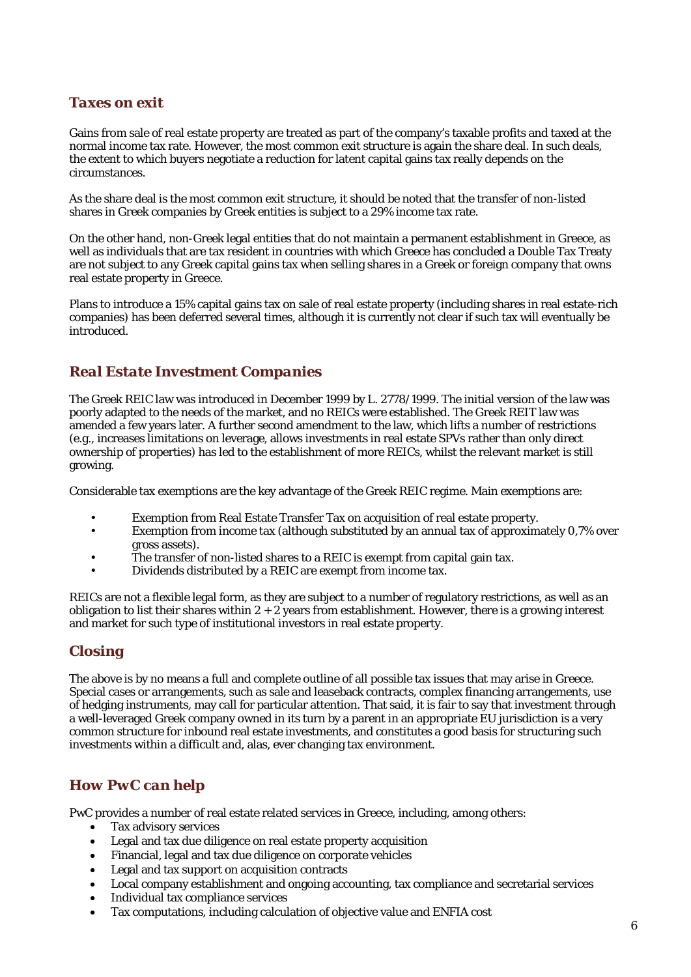# *Taxes on exit*

Gains from sale of real estate property are treated as part of the company's taxable profits and taxed at the normal income tax rate. However, the most common exit structure is again the share deal. In such deals, the extent to which buyers negotiate a reduction for latent capital gains tax really depends on the circumstances.

As the share deal is the most common exit structure, it should be noted that the transfer of non-listed shares in Greek companies by Greek entities is subject to a 29% income tax rate.

On the other hand, non-Greek legal entities that do not maintain a permanent establishment in Greece, as well as individuals that are tax resident in countries with which Greece has concluded a Double Tax Treaty are not subject to any Greek capital gains tax when selling shares in a Greek or foreign company that owns real estate property in Greece.

Plans to introduce a 15% capital gains tax on sale of real estate property (including shares in real estate-rich companies) has been deferred several times, although it is currently not clear if such tax will eventually be introduced.

## *Real Estate Investment Companies*

The Greek REIC law was introduced in December 1999 by L. 2778/1999. The initial version of the law was poorly adapted to the needs of the market, and no REICs were established. The Greek REIT law was amended a few years later. A further second amendment to the law, which lifts a number of restrictions (e.g., increases limitations on leverage, allows investments in real estate SPVs rather than only direct ownership of properties) has led to the establishment of more REICs, whilst the relevant market is still growing.

Considerable tax exemptions are the key advantage of the Greek REIC regime. Main exemptions are:

- Exemption from Real Estate Transfer Tax on acquisition of real estate property.
- Exemption from income tax (although substituted by an annual tax of approximately 0,7% over gross assets).
- The transfer of non-listed shares to a REIC is exempt from capital gain tax.
- Dividends distributed by a REIC are exempt from income tax.

REICs are not a flexible legal form, as they are subject to a number of regulatory restrictions, as well as an obligation to list their shares within  $2 + 2$  years from establishment. However, there is a growing interest and market for such type of institutional investors in real estate property.

# *Closing*

The above is by no means a full and complete outline of all possible tax issues that may arise in Greece. Special cases or arrangements, such as sale and leaseback contracts, complex financing arrangements, use of hedging instruments, may call for particular attention. That said, it is fair to say that investment through a well-leveraged Greek company owned in its turn by a parent in an appropriate EU jurisdiction is a very common structure for inbound real estate investments, and constitutes a good basis for structuring such investments within a difficult and, alas, ever changing tax environment.

# *How PwC can help*

PwC provides a number of real estate related services in Greece, including, among others:

- Tax advisory services
- Legal and tax due diligence on real estate property acquisition
- Financial, legal and tax due diligence on corporate vehicles
- Legal and tax support on acquisition contracts
- Local company establishment and ongoing accounting, tax compliance and secretarial services
- Individual tax compliance services
- Tax computations, including calculation of objective value and ENFIA cost